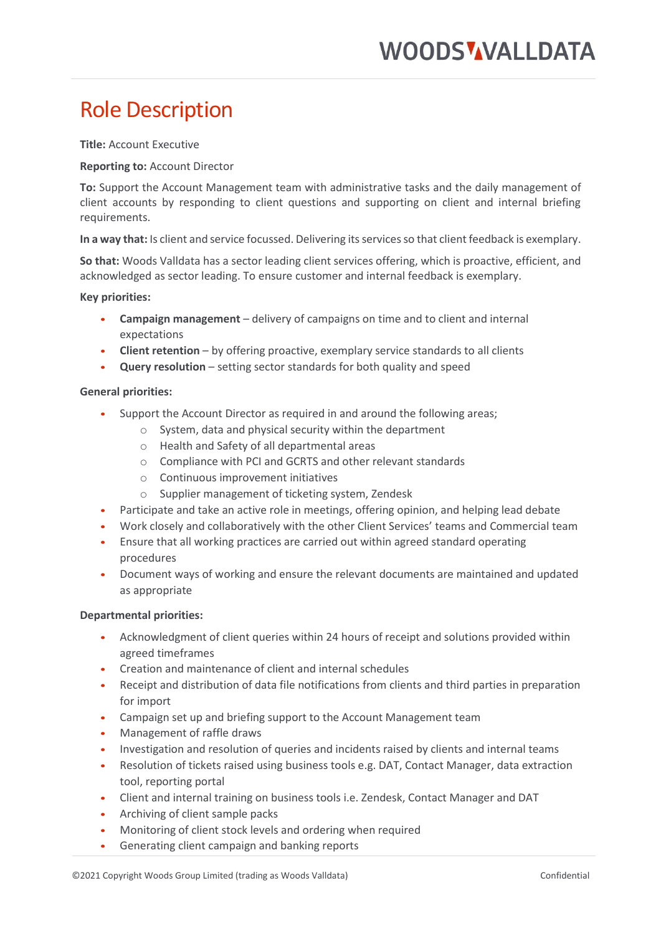# Role Description

**Title:** Account Executive

## **Reporting to:** Account Director

**To:** Support the Account Management team with administrative tasks and the daily management of client accounts by responding to client questions and supporting on client and internal briefing requirements.

**In a way that:** Is client and service focussed. Delivering its services so that client feedback is exemplary.

**So that:** Woods Valldata has a sector leading client services offering, which is proactive, efficient, and acknowledged as sector leading. To ensure customer and internal feedback is exemplary.

**Key priorities:** 

- **Campaign management** delivery of campaigns on time and to client and internal expectations
- **Client retention** by offering proactive, exemplary service standards to all clients
- **Query resolution** setting sector standards for both quality and speed

#### **General priorities:**

- Support the Account Director as required in and around the following areas;
	- o System, data and physical security within the department
	- o Health and Safety of all departmental areas
	- o Compliance with PCI and GCRTS and other relevant standards
	- o Continuous improvement initiatives
	- o Supplier management of ticketing system, Zendesk
- Participate and take an active role in meetings, offering opinion, and helping lead debate
- Work closely and collaboratively with the other Client Services' teams and Commercial team
- Ensure that all working practices are carried out within agreed standard operating procedures
- Document ways of working and ensure the relevant documents are maintained and updated as appropriate

## **Departmental priorities:**

- Acknowledgment of client queries within 24 hours of receipt and solutions provided within agreed timeframes
- Creation and maintenance of client and internal schedules
- Receipt and distribution of data file notifications from clients and third parties in preparation for import
- Campaign set up and briefing support to the Account Management team
- Management of raffle draws
- Investigation and resolution of queries and incidents raised by clients and internal teams
- Resolution of tickets raised using business tools e.g. DAT, Contact Manager, data extraction tool, reporting portal
- Client and internal training on business tools i.e. Zendesk, Contact Manager and DAT
- Archiving of client sample packs
- Monitoring of client stock levels and ordering when required
- Generating client campaign and banking reports